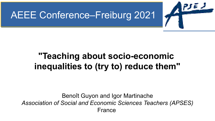



### **"Teaching about socio-economic inequalities to (try to) reduce them"**

Benoît Guyon and Igor Martinache *Association of Social and Economic Sciences Teachers (APSES)* France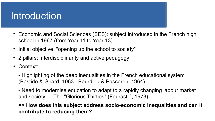### Introduction

- Economic and Social Sciences (SES): subject introduced in the French high school in 1967 (from Year 11 to Year 13)
- Initial objective: "opening up the school to society"
- 2 pillars: interdisciplinarity and active pedagogy
- Context:

- Highlighting of the deep inequalities in the French educational system (Bastide & Girard, 1963 ; Bourdieu & Passeron, 1964)

- Need to modernise education to adapt to a rapidly changing labour market and society  $\rightarrow$  The "Glorious Thirties" (Fourastié, 1973)

**=> How does this subject address socio-economic inequalities and can it contribute to reducing them?**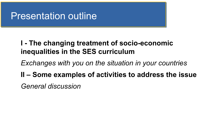### Presentation outline

#### **I - The changing treatment of socio-economic inequalities in the SES curriculum**

- *Exchanges with you on the situation in your countries*
- **II Some examples of activities to address the issue**

*General discussion*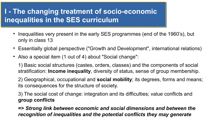- $\bullet$ Inequalities very present in the early SES programmes (end of the 1960's), but only in class 13
- Essentially global perspective ("Growth and Development", international relations)
- Also a special item (1 out of 4) about "Social change":

1) Basic social structures (castes, orders, classes) and the components of social stratification: **Income inequality**, diversity of status, sense of group membership.

2) Geographical, occupational and **social mobility**; its degrees, forms and means; its consequences for the structure of society.

3) The social cost of change: integration and its difficulties; value conflicts and **group conflicts**

**=>** *Strong link between economic and social dimensions and between the recognition of inequalities and the potential conflicts they may generate*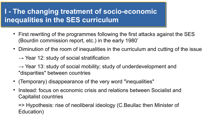- First rewriting of the programmes following the first attacks against the SES (Bourdin commission report, etc.) in the early 1980'
- Diminution of the room of inequalities in the curriculum and cutting of the issue
	- $\rightarrow$  Year 12: study of social stratification
	- $\rightarrow$  Year 13: study of social mobility; study of underdevelopment and "disparities" between countries
- (Temporary) disappearance of the very word "inequalities"
- $\bullet$ Instead: focus on economic crisis and relations between Socialist and Capitalist countries

=> Hypothesis: rise of neoliberal ideology (C.Beullac then Minister of Education)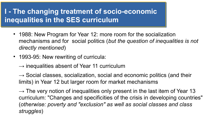- 1988: New Program for Year 12: more room for the socialization mechanisms and for social politics (*but the question of inequalities is not directly mentioned*)
- 1993-95: New rewriting of curricula:
	- $\rightarrow$  inequalities absent of Year 11 curriculum

 $\rightarrow$  Social classes, socialization, social and economic politics (and their limits) in Year 12 but larger room for market mechanisms

 $\rightarrow$  The very notion of inequalities only present in the last item of Year 13 curriculum: "Changes and specificities of the crisis in developing countries" (*otherwise: poverty and "exclusion" as well as social classes and class struggles*)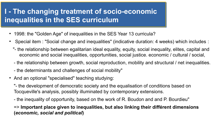- 1998: the "Golden Age" of inequalities in the SES Year 13 curricula?
- Special item : "Social change and inequalities" (indicative duration: 4 weeks) which includes :
	- "- the relationship between egalitarian ideal equality, equity, social inequality, elites, capital and economic and social inequalities, opportunities, social justice. economic / cultural / social,
	- the relationship between growth, social reproduction, mobility and structural / net inequalities.
	- the determinants and challenges of social mobility"
- And an optional "specialised" teaching studying:

"- the development of democratic society and the equalisation of conditions based on Tocqueville's analysis, possibly illuminated by contemporary extensions.

- the inequality of opportunity, based on the work of R. Boudon and and P. Bourdieu"

=> **Important place given to inequalities, but also linking their différent dimensions (***economic, social and political***)**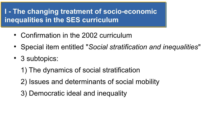- Confirmation in the 2002 curriculum
- Special item entitled "*Social stratification and inequalities*"
- 3 subtopics:
	- 1) The dynamics of social stratification
	- 2) Issues and determinants of social mobility
	- 3) Democratic ideal and inequality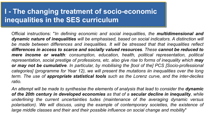Official instructions: "*In defining economic and social inequalities, the multidimensional and dynamic nature of inequalities will be emphasised, based on social indicators. A distinction will be made between differences and inequalities. It will be stressed that that inequalities reflect differences in access to scarce and socially valued resources. These cannot be reduced to mere income or wealth: consumption, education, health, political representation, political representation, social prestige of professions, etc. also give rise to forms of inequality which may or may not be cumulative. In particular, by mobilising the [tool of the] PCS [Socio-professional categories] (programme for Year 12), we will present the mutations iin inequalities over the long term. The use of appropriate statistical tools such as the Lorenz curve, and the inter-deciles ratio.* 

An attempt will be made to synthesise the elements of analysis that lead to consider the **dynamic** *of the 20th century in developed economies as that of a secular decline in inequality, while underlining the current uncertainties tudes (maintenance of the averaging dynamic versus polarisation). We will discuss, using the example of contemporary societies, the existence of large middle classes and their and their possible influence on social change and mobility*"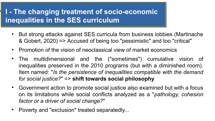- But strong attacks against SES curricula from business lobbies (Martinache & Gobert, 2020) => Accused of being too "pessimistic" and too "critical"
- Promotion of the vision of neoclassical view of market economics
- The multidimensional and the ("sometimes") cumulative vision of inequalities preserved in the 2010 programs (but with a diminished room). Item named: "*Is the persistence of inequalities compatible with the demand for social justice?*" => **shift towards social philosophy**
- Government action to promote social justice also examined but with a focus on its limitations while social conflicts analyzed as a "*pathology, cohesion factor or a driver of social change?*"
- Poverty and "exclusion" treated separatedly...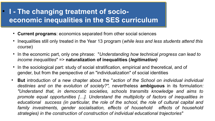- **Current programs**: economics separated from other social sciences
- Inequalities still only treated in the Year 13 program (*while less and less students attend this course*)
- In the economic part, only one phrase: "*Understanding how technical progress can lead to income inequalities*" => **naturalization of inequalities (***legitimation)*
- In the sociological part: study of social stratification, empirical and theoretical, and of gender, but from the perspective of an "individualization" of social identities
- **But** introduction of a new chapter about the "*action of the School on individual individual destinies and on the evolution of society?",* nevertheless **ambiguous** in its formulatio*n: "Understand that, in democratic societies, schools transmits knowledge and aims to promote equal opportunities […]. Understand the multiplicity of factors of inequalities in educational success (in particular, the role of the school, the role of cultural capital and family investments, gender socialisation, effects of household effects of household strategies) in the construction of construction of individual educational trajectories*"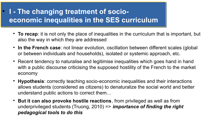- **To recap**: it is not only the place of inequalities in the curriculum that is important, but also the way in which they are addressed
- **In the French case**: not linear evolution, oscillation between different scales (global or between individuals and households), isolated or systemic approach, etc.
- Recent tendency to naturalise and legitimise inequalities which goes hand in hand with a public discourse criticising the supposed hostility of the French to the market economy
- **Hypothesis**: correctly teaching socio-economic inequalities and their interactions allows students (considered as citizens) to denaturalize the social world and better understand public actions to correct them…
- **But it can also provoke hostile reactions**, from privileged as well as from underprivileged students (Truong, 2010) => *importance of finding the right pedagogical tools to do this*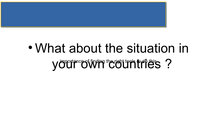

# What about the situation in your cother the right too the right of the s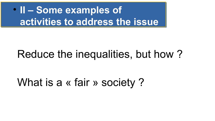**II – Some examples of activities to address the issue**

## Reduce the inequalities, but how ?

## What is a « fair » society?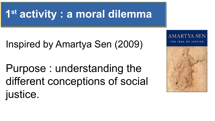## Inspired by Amartya Sen (2009)

Purpose : understanding the different conceptions of social justice.

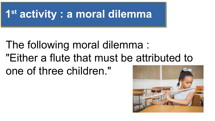# The following moral dilemma : "Either a flute that must be attributed to one of three children."

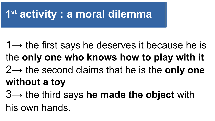- $1\rightarrow$  the first says he deserves it because he is the **only one who knows how to play with it** 2→ the second claims that he is the **only one without a toy**
- 3→ the third says **he made the object** with
- his own hands.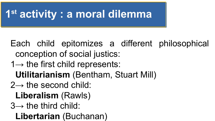- Each child epitomizes a different philosophical conception of social justics:
- $1\rightarrow$  the first child represents:
- **Utilitarianism** (Bentham, Stuart Mill)
- $2\rightarrow$  the second child:
	- **Liberalism** (Rawls)
- $3\rightarrow$  the third child:
	- **Libertarian** (Buchanan)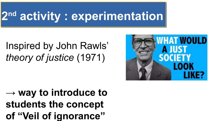# **2 nd activity : experimentation**

## Inspired by John Rawls' *theory of justice* (1971)



**→ way to introduce to students the concept of "Veil of ignorance"**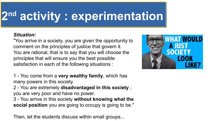#### **2 nd activity : experimentation**

#### *Situation:*

"You arrive in a society, you are given the opportunity to comment on the principles of justice that govern it. You are rational, that is to say that you will choose the principles that will ensure you the best possible satisfaction in each of the following situations :

1 - You come from a **very wealthy family**, which has many powers in this society.

2 - You are extremely **disadvantaged in this society** ; you are very poor and have no power.

3 - You arrive in this society **without knowing what the social position** you are going to occupy is going to be."

Then, let the students discuss within small groups...

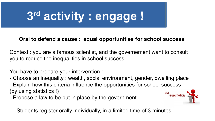# **3 rd activity : engage !**

#### **Oral to defend a cause : equal opportunities for school success**

Context : you are a famous scientist, and the governement want to consult you to reduce the inequalities in school success.

You have to prepare your intervention :

- Choose an inequality : wealth, social environment, gender, dwelling place

- Explain how this criteria influence the opportunities for school success (by using statistics !)
- Propose a law to be put in place by the government.

 $\rightarrow$  Students register orally individually, in a limited time of 3 minutes.

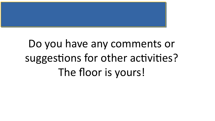

# Do you have any comments or suggestions for other activities? The floor is yours!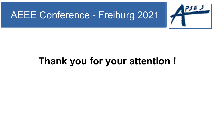### AEEE Conference - Freiburg 2021



## **Thank you for your attention !**